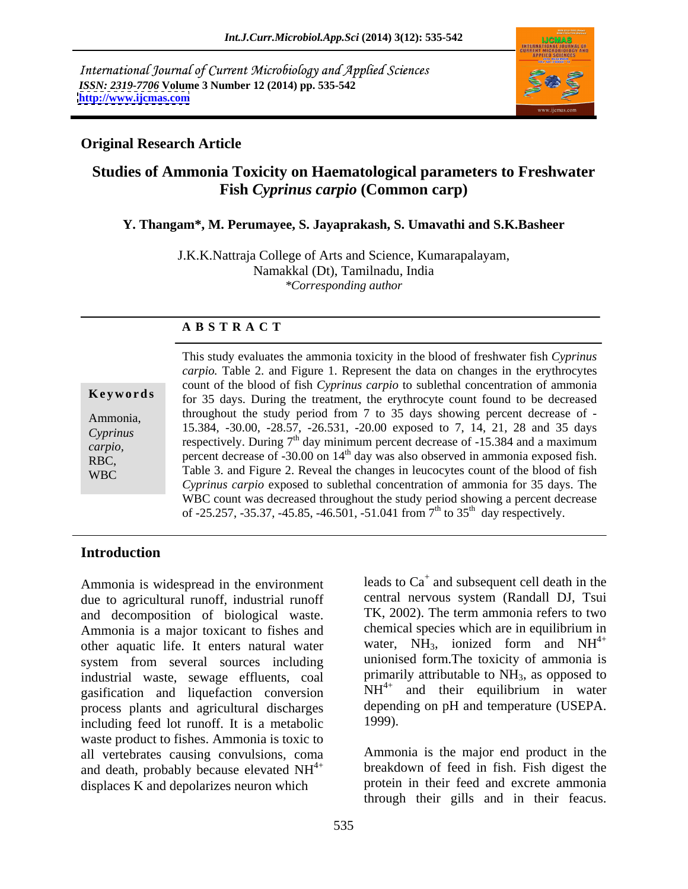International Journal of Current Microbiology and Applied Sciences *ISSN: 2319-7706* **Volume 3 Number 12 (2014) pp. 535-542 <http://www.ijcmas.com>**



## **Original Research Article**

# **Studies of Ammonia Toxicity on Haematological parameters to Freshwater Fish** *Cyprinus carpio* **(Common carp)**

### **Y. Thangam\*, M. Perumayee, S. Jayaprakash, S. Umavathi and S.K.Basheer**

J.K.K.Nattraja College of Arts and Science, Kumarapalayam, Namakkal (Dt), Tamilnadu, India *\*Corresponding author* 

### **A B S T R A C T**

| Keywords                        |
|---------------------------------|
| Ammonia,<br>Cyprinus<br>carpio, |
| RBC,<br><b>WBC</b>              |
|                                 |

**Keywords** for 35 days. During the treatment, the erythrocyte count found to be decreased Ammonia, throughout the study period from 7 to 35 days showing percent decrease of -*Cyprinus* 15.584, -50.00, -28.57, -20.551, -20.00 exposed to 7, 14, 21, 28 and 55 days *carpio*, **Expectively.** During t day minimum percent decrease of -15.584 and a maximum respectively. During t day minimum percent decrease of -15.584 and a maximum RBC, percent decrease of  $-30.00$  on  $14<sup>th</sup>$  day was also observed in ammonia exposed fish.  $WBC$  Table 3. and Figure 2. Reveal the changes in leucocytes count of the blood of fish This study evaluates the ammonia toxicity in the blood of freshwater fish *Cyprinus carpio.* Table 2. and Figure 1. Represent the data on changes in the erythrocytes count of the blood of fish *Cyprinus carpio* to sublethal concentration of ammonia 15.384, -30.00, -28.57, -26.531, -20.00 exposed to 7, 14, 21, 28 and 35 days respectively. During  $7<sup>th</sup>$  day minimum percent decrease of -15.384 and a maximum *Cyprinus carpio* exposed to sublethal concentration of ammonia for 35 days. The WBC count was decreased throughout the study period showing a percent decrease of -25.257, -35.37, -45.85, -46.501, -51.041 from  $7<sup>th</sup>$  to 35<sup>th</sup> day respectively.

## **Introduction**

Ammonia is widespread in the environment due to agricultural runoff, industrial runoff and decomposition of biological waste. Ammonia is a major toxicant to fishes and other aquatic life. It enters natural water system from several sources including industrial waste, sewage effluents, coal gasification and liquefaction conversion process plants and agricultural discharges depend<br>including feed lot runoff. It is a metabolic 1999). including feed lot runoff. It is a metabolic waste product to fishes. Ammonia is toxic to all vertebrates causing convulsions, coma and death, probably because elevated  $NH<sup>4+</sup>$ displaces K and depolarizes neuron which

leads to  $Ca<sup>+</sup>$  and subsequent cell death in the central nervous system (Randall DJ, Tsui TK, 2002). The term ammonia refers to two chemical species which are in equilibrium in water, NH<sub>3</sub>, ionized form and NH<sup>4+</sup> 4+ unionised form.The toxicity of ammonia is primarily attributable to  $NH<sub>3</sub>$ , as opposed to  $NH^{4+}$  and their equilibrium in water and their equilibrium in water depending on pH and temperature (USEPA. 1999).

4+ breakdown of feed in fish. Fish digest the Ammonia is the major end product in the protein in their feed and excrete ammonia through their gills and in their feacus.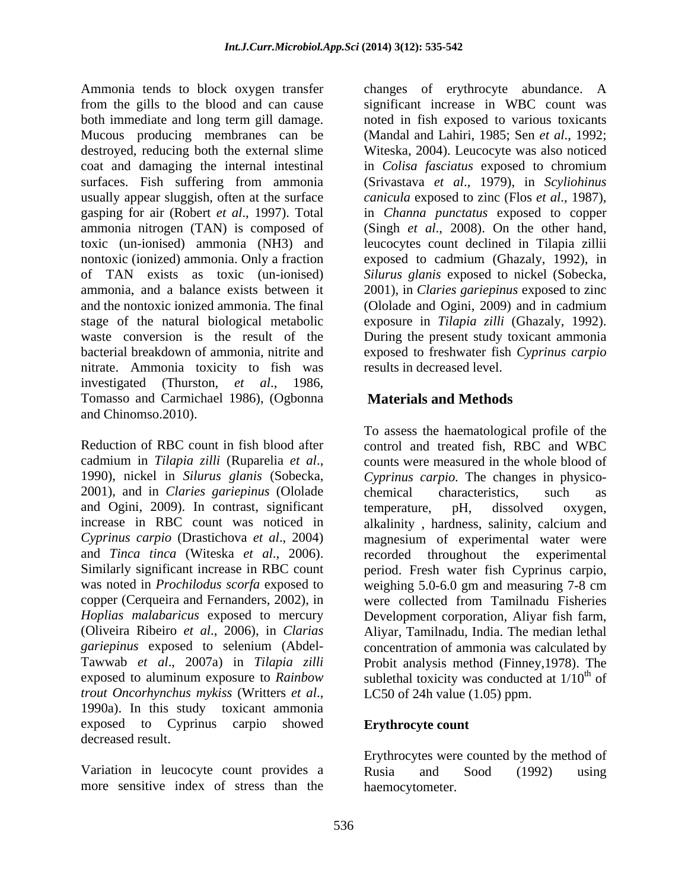Ammonia tends to block oxygen transfer changes of erythrocyte abundance. A from the gills to the blood and can cause significant increase in WBC count was both immediate and long term gill damage. Mucous producing membranes can be (Mandal and Lahiri, 1985; Sen *et al*., 1992; destroyed, reducing both the external slime Witeska, 2004). Leucocyte was also noticed coat and damaging the internal intestinal in *Colisa fasciatus* exposed to chromium surfaces. Fish suffering from ammonia (Srivastava *et al*., 1979), in *Scyliohinus*  usually appear sluggish, often at the surface *canicula* exposed to zinc (Flos *et al*., 1987), gasping for air (Robert *et al*., 1997).Total in *Channa punctatus* exposed to copper ammonia nitrogen (TAN) is composed of (Singh *et al*., 2008). On the other hand, toxic (un-ionised) ammonia (NH3) and leucocytes count declined in Tilapia zillii nontoxic (ionized) ammonia. Only a fraction exposed to cadmium (Ghazaly, 1992), in of TAN exists as toxic (un-ionised) *Silurus glanis* exposed to nickel (Sobecka, ammonia, and a balance exists between it 2001), in *Claries gariepinus* exposed to zinc and the nontoxic ionized ammonia. The final (Ololade and Ogini, 2009) and in cadmium stage of the natural biological metabolic exposure in *Tilapia zilli* (Ghazaly, 1992). waste conversion is the result of the During the present study toxicant ammonia bacterial breakdown of ammonia, nitrite and exposed to freshwater fish *Cyprinus carpio* nitrate. Ammonia toxicity to fish was investigated (Thurston, *et al*., 1986, Tomasso and Carmichael 1986), (Ogbonna and Chinomso.2010).

Reduction of RBC count in fish blood after control and treated fish, RBC and WBC cadmium in *Tilapia zilli* (Ruparelia *et al*., 1990), nickel in *Silurus glanis* (Sobecka, 2001), and in *Claries gariepinus* (Ololade and Ogini, 2009). In contrast, significant temperature, pH, dissolved oxygen, increase in RBC count was noticed in alkalinity , hardness, salinity, calcium and *Cyprinus carpio* (Drastichova *et al*., 2004) magnesium of experimental water were and *Tinca tinca* (Witeska *et al*., 2006). recorded throughout the experimental Similarly significant increase in RBC count period. Fresh water fish Cyprinus carpio, was noted in *Prochilodus scorfa* exposed to copper (Cerqueira and Fernanders, 2002), in were collected from Tamilnadu Fisheries *Hoplias malabaricus* exposed to mercury Development corporation, Aliyar fish farm, (Oliveira Ribeiro *et al*., 2006), in *Clarias*  Aliyar, Tamilnadu, India. The median lethal *gariepinus* exposed to selenium (Abdel- concentration of ammonia was calculated by Tawwab *et al*., 2007a) in *Tilapia zilli* Probit analysis method (Finney,1978). The exposed to aluminum exposure to *Rainbow* sublethal toxicity was conducted at 1/10<sup>th</sup> of *trout Oncorhynchus mykiss* (Writters *et al*., 1990a). In this study toxicant ammonia exposed to Cyprinus carpio showed decreased result.

Variation in leucocyte count provides a Rusia and Sood (1992) using more sensitive index of stress than the

noted in fish exposed to various toxicants results in decreased level.

# **Materials and Methods**

To assess the haematological profile of the counts were measured in the whole blood of *Cyprinus carpio.* The changes in physico chemical characteristics, such as temperature, pH, dissolved oxygen, weighing 5.0-6.0 gm and measuring 7-8 cm  $\frac{f}{f}$ of LC50 of 24h value (1.05) ppm.

### **Erythrocyte count**

Erythrocytes were counted by the method of Rusia and Sood (1992) using haemocytometer.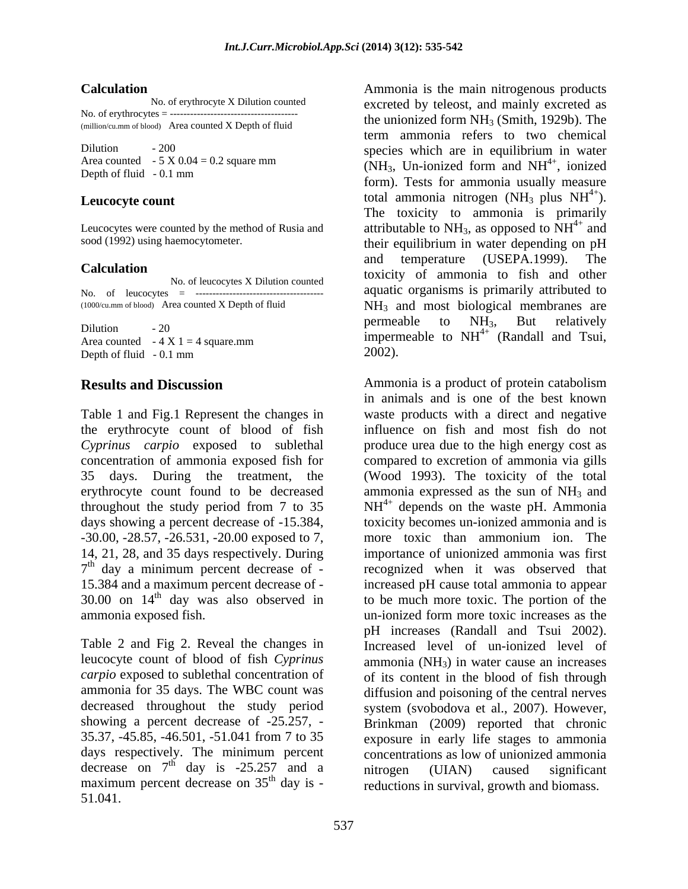(million/cu.mm of blood) Area counted X Depth of fluid

No. of leucocytes = --------------------------------------

Depth of fluid  $-0.1$  mm

the erythrocyte count of blood of fish 14, 21, 28, and 35 days respectively. During  $7<sup>th</sup>$  day a minimum percent decrease of -30.00 on  $14<sup>th</sup>$  day was also observed in

Table 2 and Fig 2. Reveal the changes in leucocyte count of blood of fish *Cyprinus*  decreased throughout the study period maximum percent decrease on  $35<sup>th</sup>$  day is -51.041.

**Calculation** Ammonia is the main nitrogenous products No. of erythrocyte X Dilution counted excreted by teleost, and mainly excreted as No. of erythrocytes =  $\frac{1}{2}$  =  $\frac{1}{2}$  =  $\frac{1}{2}$  =  $\frac{1}{2}$  =  $\frac{1}{2}$  =  $\frac{1}{2}$  =  $\frac{1}{2}$  =  $\frac{1}{2}$  =  $\frac{1}{2}$  =  $\frac{1}{2}$  =  $\frac{1}{2}$  =  $\frac{1}{2}$  =  $\frac{1}{2}$  =  $\frac{1}{2}$  =  $\frac{1}{2}$  =  $\frac{1}{2}$  =  $\frac{1}{2$ Dilution - 200<br>
species which are in equilibrium in water Area counted  $-5 \times 0.04 = 0.2$  square mm<br>
North of fluid 0.1 nm Depth of fluid  $-0.1$  mm **Leucocyte count** total ammonia nitrogen (NH<sub>3</sub> plus NH<sup>4+</sup>). Leucocytes were counted by the method of Rusia and  $\qquad$  attributable to NH<sub>3</sub>, as opposed to NH<sup>4+</sup> and sood (1992) using haemocytometer. their equilibrium in water depending on pH **Calculation**<br>
No of layogy is X Dilytian counted to toxicity of ammonia to fish and other No. of leucocytes X Dilution counted to the control of the counter of the counter of the counter of the counter of the counter of the counter of the counter of the counter of the counter of the counter of the counter of th  $(1000 \text{cu.mm of blood})$  Area counted X Depth of fluid  $NH_3$  and most biological membranes are Dilution - 20<br>Area counted  $-4 \times 1 = 4$  square mm Area counted  $-4 \times 1 = 4$  square.mm term ammonia refers to two chemical  $^{4+}$  ionized , ionized form). Tests for ammonia usually measure  $^{4+}$ ). The toxicity to ammonia is primarily  $^{4+}$  and and and temperature (USEPA.1999). The aquatic organisms is primarily attributed to permeable to NH<sub>3</sub>, But relatively 4+ (Randall and Tsui, 2002).

**Results and Discussion** Ammonia is a product of protein catabolism Table 1 and Fig.1 Represent the changes in waste products with a direct and negative *Cyprinus carpio* exposed to sublethal produce urea due to the high energy cost as concentration of ammonia exposed fish for compared to excretion of ammonia via gills 35 days. During the treatment, the (Wood 1993). The toxicity of the total erythrocyte count found to be decreased ammonia expressed as the sun of  $NH_3$  and throughout the study period from 7 to 35  $NH<sup>4+</sup>$  depends on the waste pH. Ammonia days showing a percent decrease of -15.384, toxicity becomes un-ionized ammonia and is<br>-30.00, -28.57, -26.531, -20.00 exposed to 7, more toxic than ammonium ion. The 7<sup>th</sup> day a minimum percent decrease of - recognized when it was observed that 15.384 and a maximum percent decrease of - increased pH cause total ammonia to appear <sup>th</sup> day was also observed in to be much more toxic. The portion of the ammonia exposed fish. un-ionized form more toxic increases as the *carpio* exposed to sublethal concentration of of its content in the blood of fish through ammonia for 35 days. The WBC count was diffusion and poisoning of the central nerves showing a percent decrease of -25.257, - Brinkman (2009) reported that chronic 35.37, -45.85, -46.501, -51.041 from 7 to 35 exposure in early life stages to ammonia days respectively. The minimum percent concentrations as low of unionized ammonia decrease on  $7<sup>th</sup>$  day is -25.257 and a nitrogen (UIAN) caused significant  $\frac{1}{10}$  day is - reductions in survival, growth and biomass. in animals and is one of the best known influence on fish and most fish do not toxicity becomes un-ionized ammonia and is more toxic than ammonium ion. The importance of unionized ammonia was first pH increases (Randall and Tsui 2002). Increased level of un-ionized level of ammonia  $(NH_3)$  in water cause an increases system (svobodova et al., 2007). However, concentrations as low of unionized ammonia nitrogen (UIAN) caused significant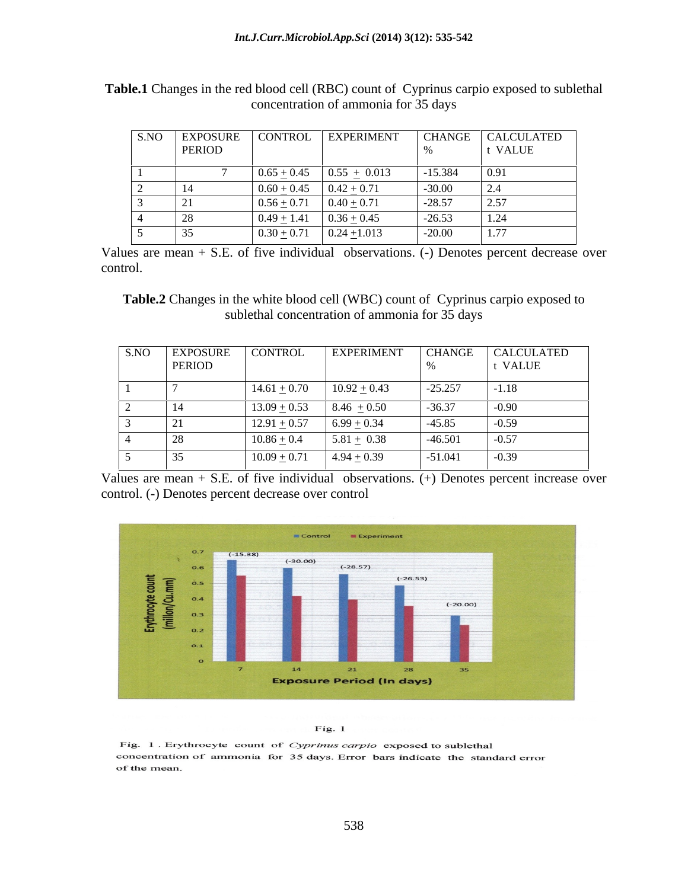|               |                             |                                  |                      | S.NO EXPOSURE CONTROL EXPERIMENT CHANGE CALCULATED |
|---------------|-----------------------------|----------------------------------|----------------------|----------------------------------------------------|
| <b>PERIOD</b> |                             |                                  |                      | <b>VALUE</b>                                       |
|               |                             | $0.65 \pm 0.45$ $0.55 \pm 0.013$ | $1 - 15.384$         | 0.91                                               |
|               | $0.60 + 0.45$ $0.42 + 0.71$ |                                  | $-30.00$             |                                                    |
| $\sim$ 1      | $0.56 \pm 0.71$             | 71 $0.40 \pm 0.71$               | $\vert -28.57 \vert$ | $\mid$ 2.57                                        |
|               |                             | $0.36 + 0.45$                    | $-26.53$             |                                                    |
|               | $0.30+$                     | $0.24 \pm 1.013$                 | $-20.00$             | 1.77                                               |

**Table.1** Changes in the red blood cell (RBC) count of Cyprinus carpio exposed to sublethal concentration of ammonia for 35 days

Values are mean + S.E. of five individual observations. (-) Denotes percent decrease over control.

**Table.2** Changes in the white blood cell (WBC) count of Cyprinus carpio exposed to sublethal concentration of ammonia for 35 days

|        | S.NO EXPOSURE CONTROL             |                 |           | EXPERIMENT CHANGE CALCULATED |
|--------|-----------------------------------|-----------------|-----------|------------------------------|
| PERIOD |                                   |                 |           | t VALUE                      |
|        | $14.61 \pm 0.70$ $10.92 \pm 0.43$ |                 | $-25.257$ | $-1.18$                      |
|        | $13.09 \pm 0.53$ 8.46 $\pm 0.50$  |                 | $-36.37$  |                              |
|        | $12.91 \pm 0.57$                  | $6.99 \pm 0.34$ | $-45.85$  | $1 - 0.59$                   |
|        | $10.86 \pm 0.4$                   | 5.81 $\pm$ 0.38 | $-46.501$ | $-0.57$                      |
|        | $10.09 \pm 0.71$ 4.94 $\pm$ 0.39  |                 | $-51.041$ | $-0.39$                      |

Values are mean + S.E. of five individual observations. (+) Denotes percent increase over control. (-) Denotes percent decrease over control



Fig. 1

Fig. 1. Erythrocyte count of Cyprinus carpio exposed to sublethal concentration of ammonia for 35 days. Error bars indicate the standard error of the mean.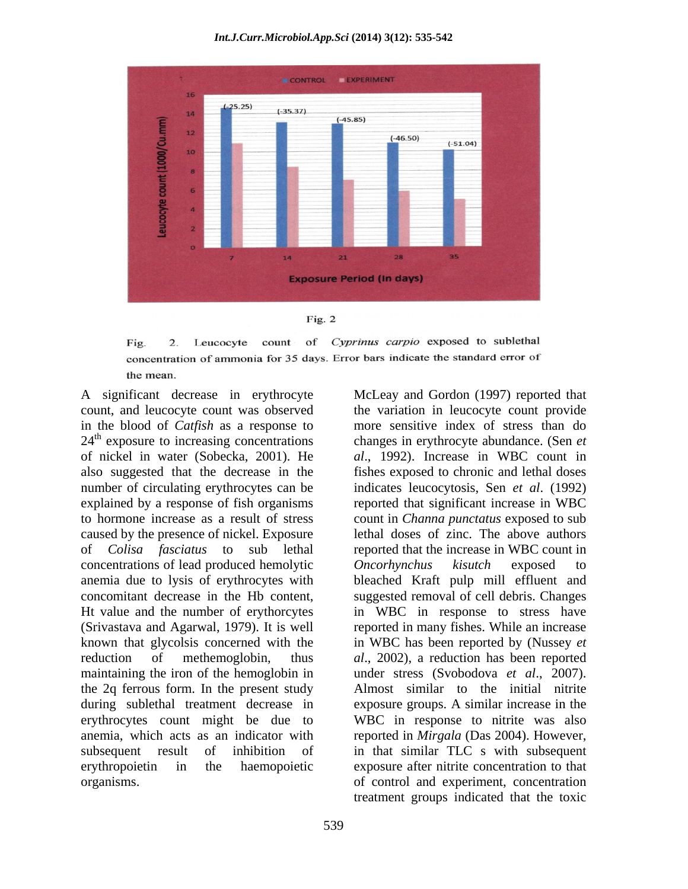### *Int.J.Curr.Microbiol.App.Sci* **(2014) 3(12): 535-542**





of Cyprinus carpio exposed to sublethal count Fig. 2. Leucocyte concentration of ammonia for 35 days. Error bars indicate the standard error of the mean.

A significant decrease in erythrocyte McLeay and Gordon (1997) reported that count, and leucocyte count was observed the variation in leucocyte count provide in the blood of *Catfish* as a response to more sensitive index of stress than do  $24<sup>th</sup>$  exposure to increasing concentrations of nickel in water (Sobecka, 2001). He *al*., 1992). Increase in WBC count in also suggested that the decrease in the fishes exposed to chronic and lethal doses number of circulating erythrocytes can be indicates leucocytosis, Sen *et al*. (1992) explained by a response of fish organisms reported that significant increase in WBC to hormone increase as a result of stress count in *Channa punctatus* exposed to sub caused by the presence of nickel. Exposure lethal doses of zinc. The above authors of *Colisa fasciatus* to sub lethal reported that the increase in WBC count in concentrations of lead produced hemolytic *Oncorhynchus* kisutch exposed to anemia due to lysis of erythrocytes with bleached Kraft pulp mill effluent and concomitant decrease in the Hb content, suggested removal of cell debris. Changes Ht value and the number of erythorcytes in WBC in response to stress have (Srivastava and Agarwal, 1979). It is well reported in many fishes. While an increase known that glycolsis concerned with the in WBC has been reported by (Nussey *et*  reduction of methemoglobin, thus *al*., 2002), a reduction has been reported maintaining the iron of the hemoglobin in the 2q ferrous form. In the present study during sublethal treatment decrease in exposure groups. A similar increase in the erythrocytes count might be due to anemia, which acts as an indicator with reported in *Mirgala* (Das 2004). However, subsequent result of inhibition of in that similar TLC s with subsequent erythropoietin in the haemopoietic exposure after nitrite concentration to that organisms. of control and experiment, concentration

exposure to increasing concentrations changes in erythrocyte abundance. (Sen *et Oncorhynchus kisutch* exposed to under stress (Svobodova *et al*., 2007). Almost similar to the initial nitrite WBC in response to nitrite was also treatment groups indicated that the toxic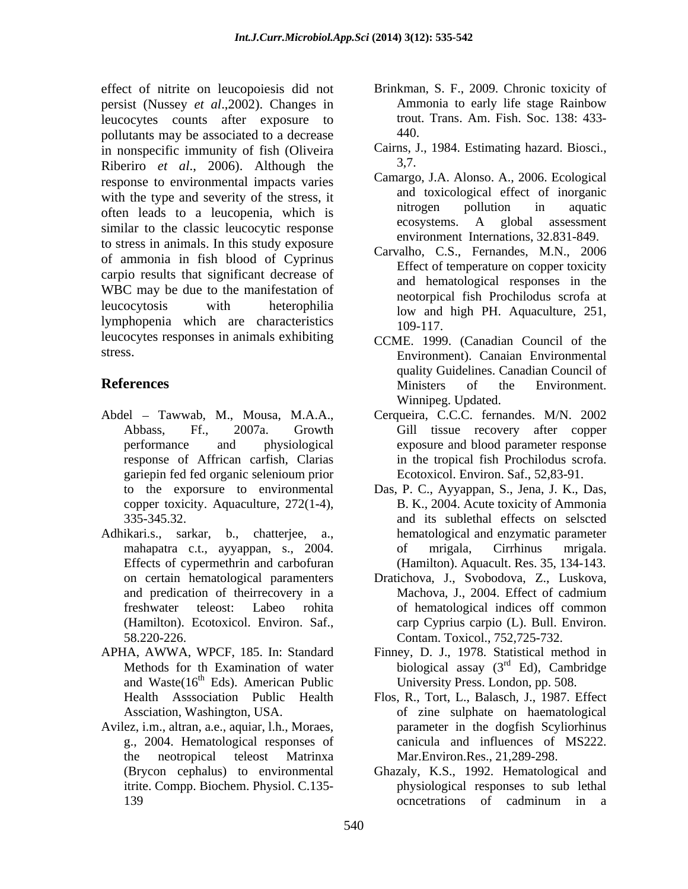effect of nitrite on leucopoiesis did not persist (Nussey *et al*.,2002). Changes in leucocytes counts after exposure to trout<br>nollutants may be associated to a decrease  $\frac{440}{100}$ pollutants may be associated to a decrease in nonspecific immunity of fish (Oliveira Cairns, J. Piheriro, et al. 2006). Although the  $3.7$ . Riberiro *et al*., 2006). Although the response to environmental impacts varies with the type and severity of the stress, it<br>
and toxicological effect of inorganic<br>
pollution in aquatic often leads to a leucopenia, which is the place of the place of the place of the place of the place of the place of the place of the place of the place of the place of the place of the place of the place of the place of th similar to the classic leucocytic response to stress in animals. In this study exposure of ammonia in fish blood of Cyprinus carpio results that significant decrease of WBC may be due to the manifestation of leucocytosis with heterophilia low and high PH. Aquaculture, 251, lymphopenia which are characteristics 109-117. leucocytes responses in animals exhibiting

- response of Affrican carfish, Clarias copper toxicity. Aquaculture, 272(1-4), 335-345.32.
- Effects of cypermethrin and carbofuran (Hamilton). Aquacult. Res. 35, 134-143. 58.220-226. Contam. Toxicol., 752,725-732.
- APHA, AWWA, WPCF, 185. In: Standard and Waste $(16<sup>th</sup>$  Eds). American Public
- Avilez, i.m., altran, a.e., aquiar, l.h., Moraes,
- Brinkman, S. F., 2009. Chronic toxicity of Ammonia to early life stage Rainbow trout. Trans. Am. Fish. Soc. 138: 433- 440.
- Cairns, J., 1984. Estimating hazard. Biosci., 3,7.
- Camargo, J.A. Alonso. A., 2006. Ecological and toxicological effect of inorganic nitrogen pollution in aquatic ecosystems. A global assessment environment Internations, 32.831-849.
- Carvalho, C.S., Fernandes, M.N., 2006 Effect of temperature on copper toxicity and hematological responses in the neotorpical fish Prochilodus scrofa at 109-117.
- stress. Environment). Canaian Environmental **References** Ministers of the Environment. CCME. 1999. (Canadian Council of the quality Guidelines. Canadian Council of Ministers of the Environment. Winnipeg. Updated.
- Abdel Tawwab, M., Mousa, M.A.A., Cerqueira, C.C.C. fernandes. M/N. 2002 Abbass, Ff., 2007a. Growth Gill tissue recovery after copper performance and physiological exposure and blood parameter response gariepin fed fed organic selenioum prior in the tropical fish Prochilodus scrofa. Ecotoxicol. Environ. Saf., 52,83-91.
- to the exporsure to environmental Das, P. C., Ayyappan, S., Jena, J. K., Das, 335-345.32. and its sublethal effects on selscted Adhikari.s., sarkar, b., chatterjee, a., hematological and enzymatic parameter mahapatra c.t., ayyappan, s., 2004. B. K., 2004. Acute toxicity of Ammonia of mrigala, Cirrhinus mrigala.
	- on certain hematological paramenters Dratichova, J., Svobodova, Z., Luskova, and predication of theirrecovery in a Machova, J., 2004. Effect of cadmium freshwater teleost: Labeo rohita of hematological indices off common (Hamilton). Ecotoxicol. Environ. Saf., carp Cyprius carpio (L). Bull. Environ. Machova, J., 2004. Effect of cadmium
	- Methods for th Examination of water biological assay (3<sup>rd</sup> Ed), Cambridge <sup>th</sup> Eds). American Public University Press. London, pp. 508. Finney, D. J., 1978. Statistical method in <sup>rd</sup> Ed), Cambridge
	- Health Asssociation Public Health Flos, R., Tort, L., Balasch, J., 1987. Effect Assciation, Washington, USA. of zine sulphate on haematological g., 2004. Hematological responses of canicula and influences of MS222. the neotropical teleost Matrinxa Mar.Environ.Res., 21,289-298. parameter in the dogfish Scyliorhinus
	- (Brycon cephalus) to environmental Ghazaly, K.S., 1992. Hematological and itrite. Compp. Biochem. Physiol. C.135- physiological responses to sub lethal 139 concernations of cadminum in a ocncetrations of cadminum in a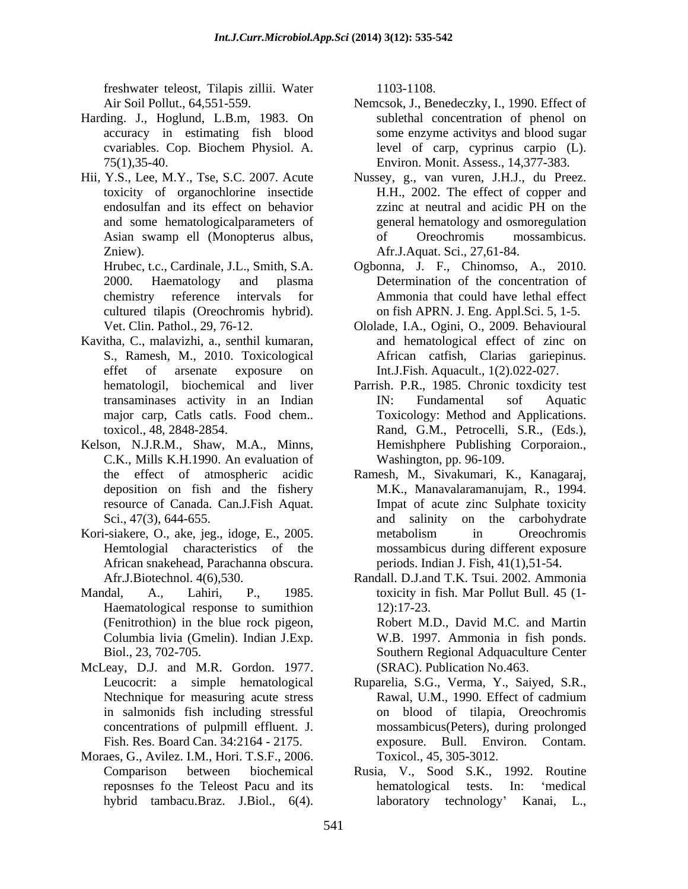freshwater teleost, Tilapis zillii. Water

- Harding. J., Hoglund, L.B.m, 1983. On
- Hii, Y.S., Lee, M.Y., Tse, S.C. 2007. Acute

cultured tilapis (Oreochromis hybrid).

- Kavitha, C., malavizhi, a., senthil kumaran, S., Ramesh, M., 2010. Toxicological
- Kelson, N.J.R.M., Shaw, M.A., Minns, C.K., Mills K.H.1990. An evaluation of
- Kori-siakere, O., ake, jeg., idoge, E., 2005. African snakehead, Parachanna obscura.
- Haematological response to sumithion 12:17-23. Columbia livia (Gmelin). Indian J.Exp.
- McLeay, D.J. and M.R. Gordon. 1977.
- Moraes, G., Avilez. I.M., Hori. T.S.F., 2006.

1103-1108.

- Air Soil Pollut., 64,551-559. Nemcsok, J., Benedeczky, I., 1990. Effect of accuracy in estimating fish blood some enzyme activitys and blood sugar cvariables. Cop. Biochem Physiol. A. level of carp, cyprinus carpio (L). 75(1),35-40. Environ. Monit. Assess., 14,377-383. sublethal concentration of phenol on
- toxicity of organochlorine insectide H.H., 2002. The effect of copper and endosulfan and its effect on behavior and some hematologicalparameters of general hematology and osmoregulation Asian swamp ell (Monopterus albus, Zniew). Afr.J.Aquat. Sci., 27,61-84. Nussey, g., van vuren, J.H.J., du Preez. zzinc at neutral and acidic PH on the of Oreochromis mossambicus.
- Hrubec, t.c., Cardinale, J.L., Smith, S.A. Ogbonna, J. F., Chinomso, A., 2010. 2000. Haematology and plasma Determination of the concentration of chemistry reference intervals for Ammonia that could have lethal effect on fish APRN. J. Eng. Appl.Sci. 5, 1-5.
- Vet. Clin. Pathol., 29, 76-12. Ololade, I.A., Ogini, O., 2009. Behavioural effet of arsenate exposure on Int.J.Fish. Aquacult., 1(2).022-027. and hematological effect of zinc on African catfish, Clarias gariepinus.
- hematologil, biochemical and liver Parrish. P.R., 1985. Chronic toxdicity test transaminases activity in an Indian major carp, Catls catls. Food chem.. Toxicology: Method and Applications. toxicol., 48, 2848-2854. Rand, G.M., Petrocelli, S.R., (Eds.), IN: Fundamental sof Aquatic Hemishphere Publishing Corporaion., Washington, pp. 96-109.
- the effect of atmospheric acidic Ramesh, M., Sivakumari, K., Kanagaraj, deposition on fish and the fishery M.K., Manavalaramanujam, R., 1994. resource of Canada. Can.J.Fish Aquat. Impat of acute zinc Sulphate toxicity Sci., 47(3), 644-655. **and** salinity on the carbohydrate Hemtologial characteristics of the mossambicus during different exposure metabolism in Oreochromis periods. Indian J. Fish, 41(1),51-54.
- Afr.J.Biotechnol. 4(6),530. Randall. D.J.and T.K. Tsui. 2002. Ammonia Mandal, A., Lahiri, P., 1985. toxicity in fish. Mar Pollut Bull. 45 (1- (Fenitrothion) in the blue rock pigeon, Robert M.D., David M.C. and Martin Biol., 23, 702-705. Southern Regional Adquaculture Center 12):17-23. W.B. 1997. Ammonia in fish ponds. (SRAC). Publication No.463.
	- Leucocrit: a simple hematological Ruparelia, S.G., Verma, Y., Saiyed, S.R., Ntechnique for measuring acute stress Rawal, U.M., 1990. Effect of cadmium in salmonids fish including stressful on blood of tilapia, Oreochromis concentrations of pulpmill effluent. J. mossambicus(Peters), during prolonged Fish. Res. Board Can. 34:2164 - 2175. exposure. Bull. Environ. Contam. Rawal, U.M., 1990. Effect of cadmium Toxicol., 45, 305-3012.
	- Comparison between biochemical Rusia, V., Sood S.K., 1992. Routine reposnses fo the Teleost Pacu and its hybrid tambacu.Braz. J.Biol., 6(4). laboratory technology Kanai, L.,hematological tests. In: 'medical